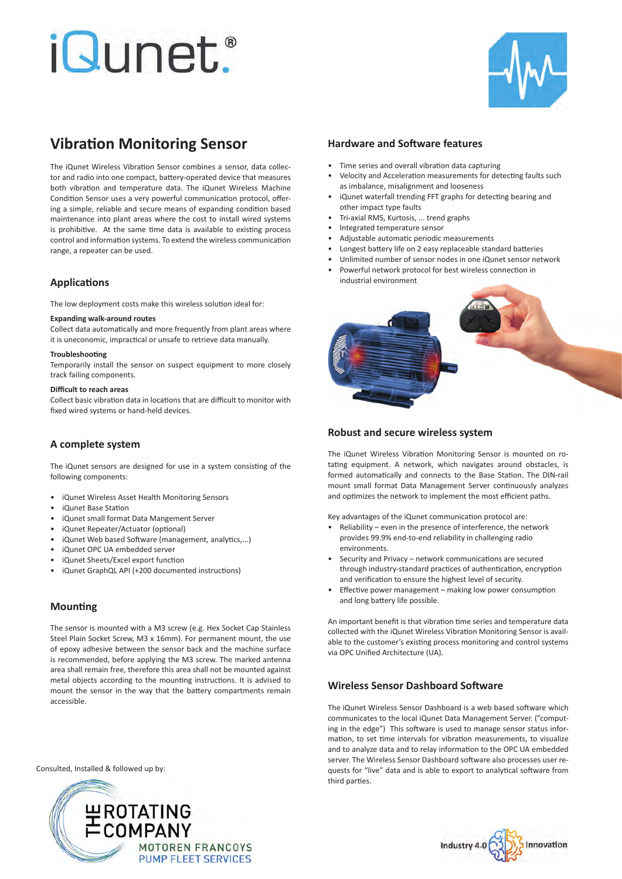# *iQunet.*



# **Vibration Monitoring Sensor**

The iQunet Wireless Vibration Sensor combines a sensor, data collector and radio into one compact, battery-operated device that measures both vibration and temperature data. The iQunet Wireless Machine Condition Sensor uses a very powerful communication protocol, offering a simple, reliable and secure means of expanding condition based maintenance into plant areas where the cost to install wired systems is prohibitive. At the same time data is available to existing process control and information systems. To extend the wireless communication range, a repeater can be used.

# **Applications**

The low deployment costs make this wireless solution ideal for:

## **Expanding walk-around routes**

Collect data automatically and more frequently from plant areas where it is uneconomic, impractical or unsafe to retrieve data manually.

## **Troubleshooting**

Temporarily install the sensor on suspect equipment to more closely track failing components.

## **Difficult to reach areas**

Collect basic vibration data in locations that are difficult to monitor with fixed wired systems or hand-held devices.

# **A complete system**

The iQunet sensors are designed for use in a system consisting of the following components:

- iQunet Wireless Asset Health Monitoring Sensors
- iQunet Base Station
- iQunet small format Data Mangement Server
- iQunet Repeater/Actuator (optional)
- iQunet Web based Software (management, analytics,...)
- iQunet OPC UA embedded server
- iQunet Sheets/Excel export function
- iQunet GraphQL API (+200 documented instructions)

# **Mounting**

The sensor is mounted with a M3 screw (e.g. Hex Socket Cap Stainless Steel Plain Socket Screw, M3 x 16mm). For permanent mount, the use of epoxy adhesive between the sensor back and the machine surface is recommended, before applying the M3 screw. The marked antenna area shall remain free, therefore this area shall not be mounted against metal objects according to the mounting instructions. It is advised to mount the sensor in the way that the battery compartments remain accessible.

Consulted, Installed & followed up by:



## **Hardware and Software features**

- Time series and overall vibration data capturing
- Velocity and Acceleration measurements for detecting faults such as imbalance, misalignment and looseness
- iQunet waterfall trending FFT graphs for detecting bearing and other impact type faults
- Tri-axial RMS, Kurtosis, ... trend graphs
- Integrated temperature sensor
- Adjustable automatic periodic measurements
- Longest battery life on 2 easy replaceable standard batteries
- Unlimited number of sensor nodes in one iQunet sensor network
- Powerful network protocol for best wireless connection in industrial environment



# **Robust and secure wireless system**

The iQunet Wireless Vibration Monitoring Sensor is mounted on rotating equipment. A network, which navigates around obstacles, is formed automatically and connects to the Base Station. The DIN-rail mount small format Data Management Server continuously analyzes and optimizes the network to implement the most efficient paths.

Key advantages of the iQunet communication protocol are:

- Reliability even in the presence of interference, the network provides 99.9% end-to-end reliability in challenging radio environments.
- Security and Privacy network communications are secured through industry-standard practices of authentication, encryption and verification to ensure the highest level of security.
- Effective power management making low power consumption and long battery life possible.

An important benefit is that vibration time series and temperature data collected with the iQunet Wireless Vibration Monitoring Sensor is available to the customer's existing process monitoring and control systems via OPC Unified Architecture (UA).

# **Wireless Sensor Dashboard Software**

The iQunet Wireless Sensor Dashboard is a web based software which communicates to the local iQunet Data Management Server. ("computing in the edge") This software is used to manage sensor status information, to set time intervals for vibration measurements, to visualize and to analyze data and to relay information to the OPC UA embedded server. The Wireless Sensor Dashboard software also processes user requests for "live" data and is able to export to analytical software from third parties.